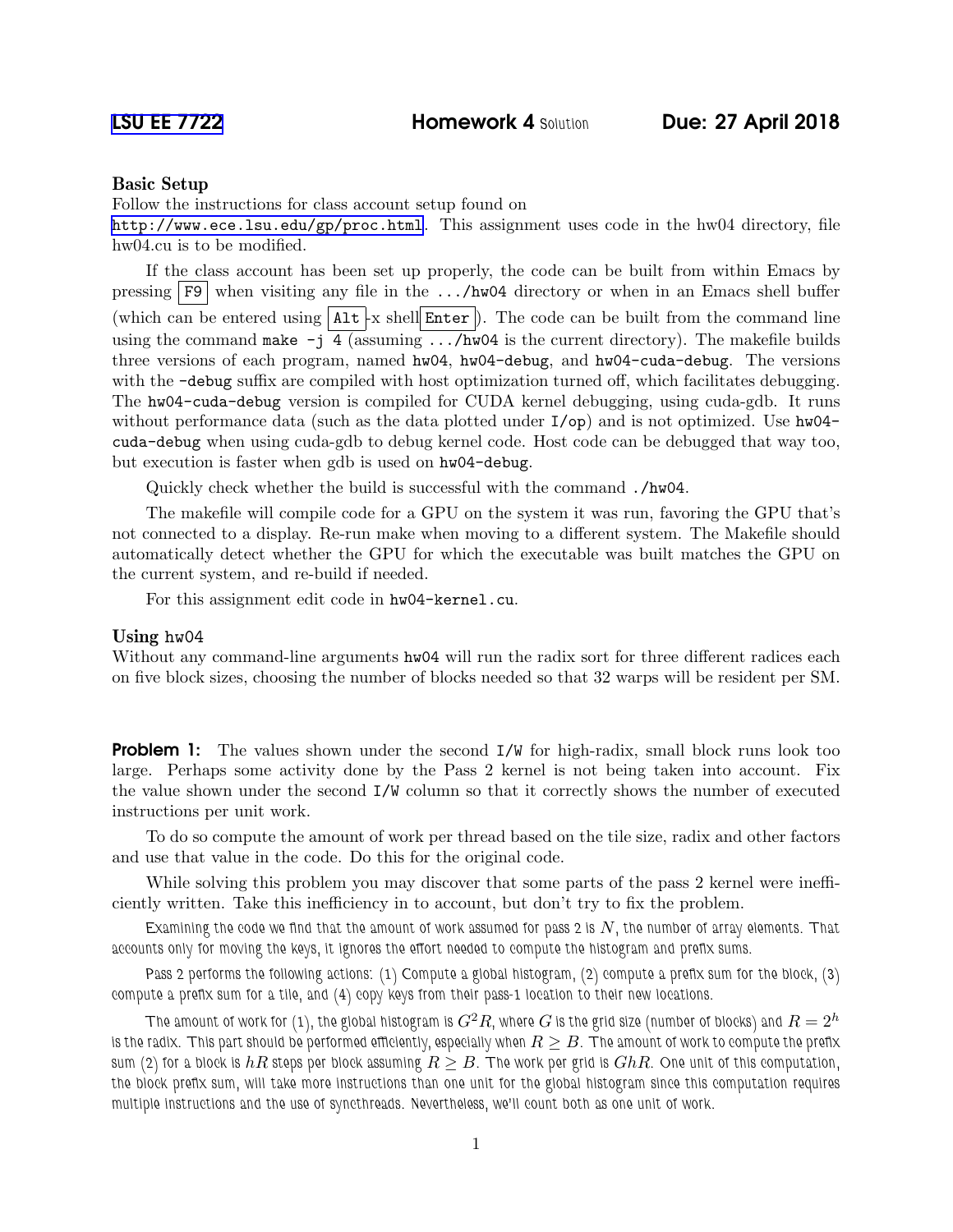## Basic Setup

Follow the instructions for class account setup found on

<http://www.ece.lsu.edu/gp/proc.html>. This assignment uses code in the hw04 directory, file hw04.cu is to be modified.

If the class account has been set up properly, the code can be built from within Emacs by pressing  $\lceil F9 \rceil$  when visiting any file in the .../hw04 directory or when in an Emacs shell buffer (which can be entered using  $\lceil \text{Alt} \rceil$  x shell Enter ). The code can be built from the command line using the command make  $-j$  4 (assuming .../hw04 is the current directory). The makefile builds three versions of each program, named hw04, hw04-debug, and hw04-cuda-debug. The versions with the -debug suffix are compiled with host optimization turned off, which facilitates debugging. The hw04-cuda-debug version is compiled for CUDA kernel debugging, using cuda-gdb. It runs without performance data (such as the data plotted under  $I$ /op) and is not optimized. Use hw04cuda-debug when using cuda-gdb to debug kernel code. Host code can be debugged that way too, but execution is faster when gdb is used on hw04-debug.

Quickly check whether the build is successful with the command ./hw04.

The makefile will compile code for a GPU on the system it was run, favoring the GPU that's not connected to a display. Re-run make when moving to a different system. The Makefile should automatically detect whether the GPU for which the executable was built matches the GPU on the current system, and re-build if needed.

For this assignment edit code in hw04-kernel.cu.

## Using hw04

Without any command-line arguments  $hw04$  will run the radix sort for three different radices each on five block sizes, choosing the number of blocks needed so that 32 warps will be resident per SM.

**Problem 1:** The values shown under the second  $I/W$  for high-radix, small block runs look too large. Perhaps some activity done by the Pass 2 kernel is not being taken into account. Fix the value shown under the second I/W column so that it correctly shows the number of executed instructions per unit work.

To do so compute the amount of work per thread based on the tile size, radix and other factors and use that value in the code. Do this for the original code.

While solving this problem you may discover that some parts of the pass 2 kernel were inefficiently written. Take this inefficiency in to account, but don't try to fix the problem.

Examining the code we find that the amount of work assumed for pass 2 is  $N$ , the number of array elements. That accounts only for moving the keys, it ignores the effort needed to compute the histogram and prefix sums.

Pass 2 performs the following actions: (1) Compute a global histogram, (2) compute a prefix sum for the block, (3) compute a prefix sum for a tile, and (4) copy keys from their pass-1 location to their new locations.

The amount of work for (1), the global histogram is  $G^2R$ , where  $G$  is the grid size (number of blocks) and  $R=2^h$ is the radix. This part should be performed efficiently, especially when  $R\geq B.$  The amount of work to compute the prefix sum (2) for a block is  $hR$  steps per block assuming  $R \geq B$ . The work per grid is  $GhR$ . One unit of this computation, the block prefix sum, will take more instructions than one unit for the global histogram since this computation requires multiple instructions and the use of syncthreads. Nevertheless, we'll count both as one unit of work.